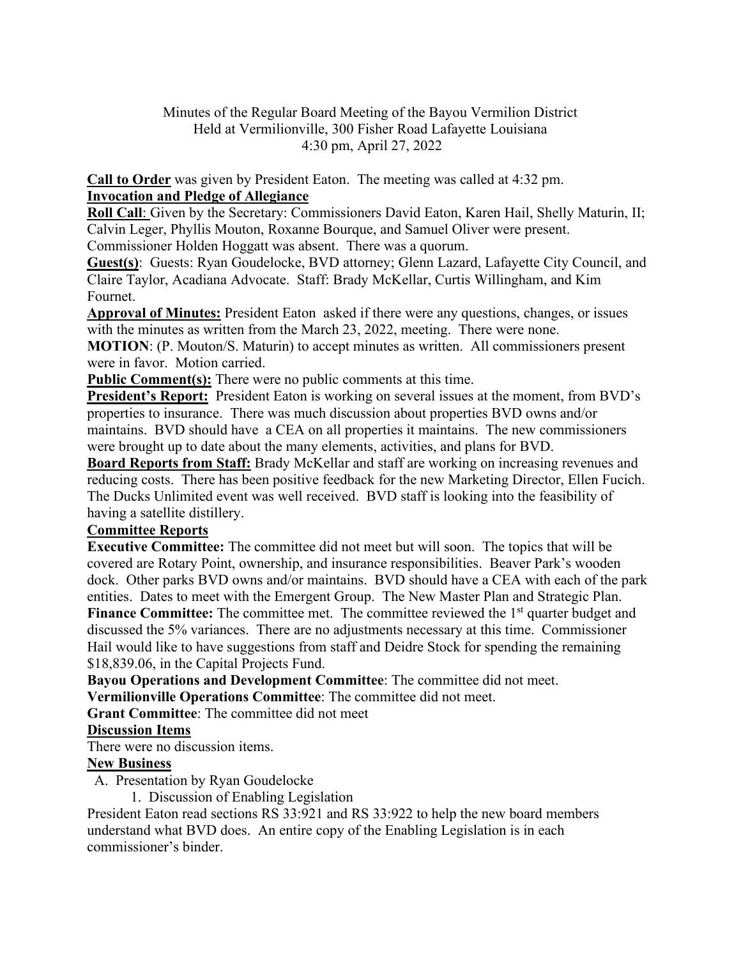## Minutes of the Regular Board Meeting of the Bayou Vermilion District Held at Vermilionville, 300 Fisher Road Lafayette Louisiana 4:30 pm, April 27, 2022

**Call to Order** was given by President Eaton. The meeting was called at 4:32 pm. **Invocation and Pledge of Allegiance** 

**Roll Call**: Given by the Secretary: Commissioners David Eaton, Karen Hail, Shelly Maturin, II; Calvin Leger, Phyllis Mouton, Roxanne Bourque, and Samuel Oliver were present. Commissioner Holden Hoggatt was absent. There was a quorum.

**Guest(s)**: Guests: Ryan Goudelocke, BVD attorney; Glenn Lazard, Lafayette City Council, and Claire Taylor, Acadiana Advocate. Staff: Brady McKellar, Curtis Willingham, and Kim Fournet.

**Approval of Minutes:** President Eaton asked if there were any questions, changes, or issues with the minutes as written from the March 23, 2022, meeting. There were none.

**MOTION**: (P. Mouton/S. Maturin) to accept minutes as written. All commissioners present were in favor. Motion carried.

**Public Comment(s):** There were no public comments at this time.

**President's Report:** President Eaton is working on several issues at the moment, from BVD's properties to insurance. There was much discussion about properties BVD owns and/or maintains. BVD should have a CEA on all properties it maintains. The new commissioners were brought up to date about the many elements, activities, and plans for BVD.

**Board Reports from Staff:** Brady McKellar and staff are working on increasing revenues and reducing costs. There has been positive feedback for the new Marketing Director, Ellen Fucich. The Ducks Unlimited event was well received. BVD staff is looking into the feasibility of having a satellite distillery.

## **Committee Reports**

**Executive Committee:** The committee did not meet but will soon. The topics that will be covered are Rotary Point, ownership, and insurance responsibilities. Beaver Park's wooden dock. Other parks BVD owns and/or maintains. BVD should have a CEA with each of the park entities. Dates to meet with the Emergent Group. The New Master Plan and Strategic Plan. **Finance Committee:** The committee met. The committee reviewed the 1<sup>st</sup> quarter budget and discussed the 5% variances. There are no adjustments necessary at this time. Commissioner Hail would like to have suggestions from staff and Deidre Stock for spending the remaining \$18,839.06, in the Capital Projects Fund.

**Bayou Operations and Development Committee**: The committee did not meet. **Vermilionville Operations Committee**: The committee did not meet.

**Grant Committee**: The committee did not meet

# **Discussion Items**

There were no discussion items.

## **New Business**

A. Presentation by Ryan Goudelocke

1. Discussion of Enabling Legislation

President Eaton read sections RS 33:921 and RS 33:922 to help the new board members understand what BVD does. An entire copy of the Enabling Legislation is in each commissioner's binder.